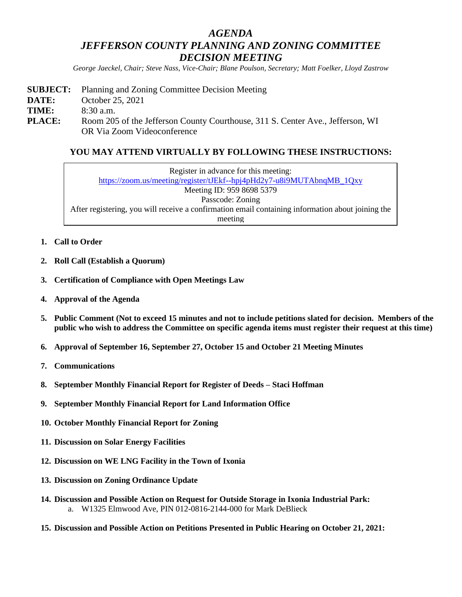# *AGENDA JEFFERSON COUNTY PLANNING AND ZONING COMMITTEE DECISION MEETING*

*George Jaeckel, Chair; Steve Nass, Vice-Chair; Blane Poulson, Secretary; Matt Foelker, Lloyd Zastrow*

**SUBJECT:** Planning and Zoning Committee Decision Meeting **DATE:** October 25, 2021 **TIME:** 8:30 a.m. **PLACE:** Room 205 of the Jefferson County Courthouse, 311 S. Center Ave., Jefferson, WI OR Via Zoom Videoconference

## **YOU MAY ATTEND VIRTUALLY BY FOLLOWING THESE INSTRUCTIONS:**

Register in advance for this meeting: [https://zoom.us/meeting/register/tJEkf--hpj4pHd2y7-u8i9MUTAbnqMB\\_1Qxy](https://zoom.us/meeting/register/tJEkf--hpj4pHd2y7-u8i9MUTAbnqMB_1Qxy) Meeting ID: 959 8698 5379 Passcode: Zoning After registering, you will receive a confirmation email containing information about joining the meeting

- **1. Call to Order**
- **2. Roll Call (Establish a Quorum)**
- **3. Certification of Compliance with Open Meetings Law**
- **4. Approval of the Agenda**
- **5. Public Comment (Not to exceed 15 minutes and not to include petitions slated for decision. Members of the public who wish to address the Committee on specific agenda items must register their request at this time)**
- **6. Approval of September 16, September 27, October 15 and October 21 Meeting Minutes**
- **7. Communications**
- **8. September Monthly Financial Report for Register of Deeds – Staci Hoffman**
- **9. September Monthly Financial Report for Land Information Office**
- **10. October Monthly Financial Report for Zoning**
- **11. Discussion on Solar Energy Facilities**
- **12. Discussion on WE LNG Facility in the Town of Ixonia**
- **13. Discussion on Zoning Ordinance Update**
- **14. Discussion and Possible Action on Request for Outside Storage in Ixonia Industrial Park:** a. W1325 Elmwood Ave, PIN 012-0816-2144-000 for Mark DeBlieck
- **15. Discussion and Possible Action on Petitions Presented in Public Hearing on October 21, 2021:**